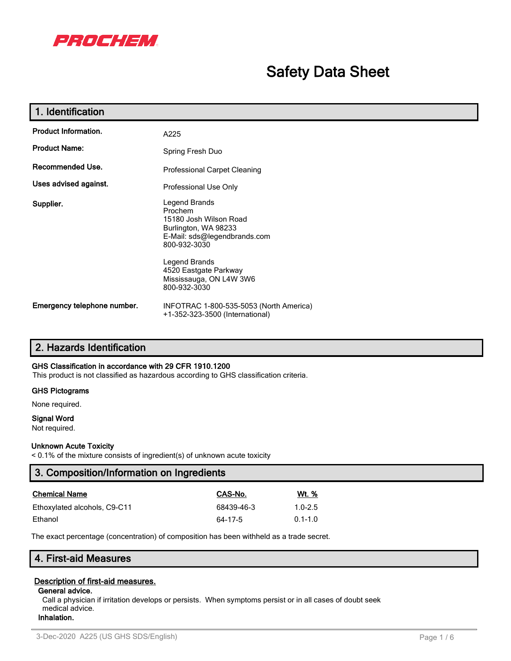

# **Safety Data Sheet**

| 1. Identification           |                                                                                                                                                                                                                 |
|-----------------------------|-----------------------------------------------------------------------------------------------------------------------------------------------------------------------------------------------------------------|
| <b>Product Information.</b> | A225                                                                                                                                                                                                            |
| <b>Product Name:</b>        | Spring Fresh Duo                                                                                                                                                                                                |
| Recommended Use.            | <b>Professional Carpet Cleaning</b>                                                                                                                                                                             |
| Uses advised against.       | Professional Use Only                                                                                                                                                                                           |
| Supplier.                   | Legend Brands<br>Prochem<br>15180 Josh Wilson Road<br>Burlington, WA 98233<br>E-Mail: sds@legendbrands.com<br>800-932-3030<br>Legend Brands<br>4520 Eastgate Parkway<br>Mississauga, ON L4W 3W6<br>800-932-3030 |
| Emergency telephone number. | INFOTRAC 1-800-535-5053 (North America)<br>+1-352-323-3500 (International)                                                                                                                                      |

## **2. Hazards Identification**

#### **GHS Classification in accordance with 29 CFR 1910.1200**

This product is not classified as hazardous according to GHS classification criteria.

#### **GHS Pictograms**

None required.

#### **Signal Word**

Not required.

#### **Unknown Acute Toxicity**

< 0.1% of the mixture consists of ingredient(s) of unknown acute toxicity

| 3. Composition/Information on Ingredients |            |              |  |
|-------------------------------------------|------------|--------------|--|
| <b>Chemical Name</b>                      | CAS-No.    | <u>Wt. %</u> |  |
| Ethoxylated alcohols, C9-C11              | 68439-46-3 | $1.0 - 2.5$  |  |
| Ethanol                                   | 64-17-5    | $0.1 - 1.0$  |  |

The exact percentage (concentration) of composition has been withheld as a trade secret.

## **4. First-aid Measures**

#### **Description of first-aid measures.**

#### **General advice.**

Call a physician if irritation develops or persists. When symptoms persist or in all cases of doubt seek medical advice. **Inhalation.**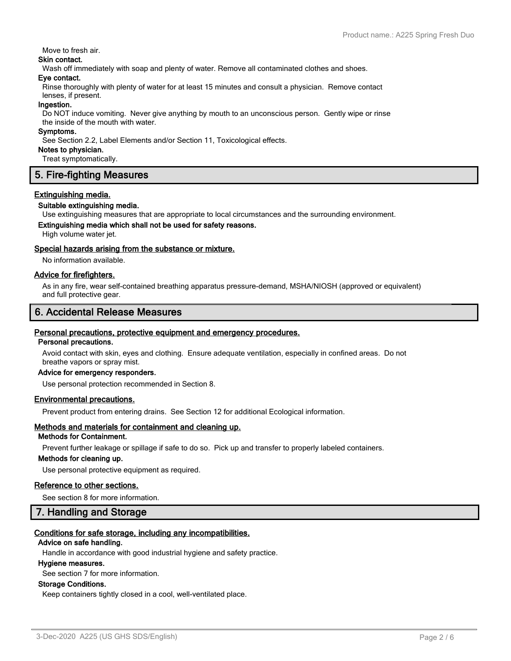#### Move to fresh air.

## **Skin contact.**

Wash off immediately with soap and plenty of water. Remove all contaminated clothes and shoes.

#### **Eye contact.**

Rinse thoroughly with plenty of water for at least 15 minutes and consult a physician. Remove contact lenses, if present.

#### **Ingestion.**

Do NOT induce vomiting. Never give anything by mouth to an unconscious person. Gently wipe or rinse the inside of the mouth with water.

#### **Symptoms.**

See Section 2.2, Label Elements and/or Section 11, Toxicological effects.

#### **Notes to physician.**

Treat symptomatically.

## **5. Fire-fighting Measures**

#### **Extinguishing media.**

#### **Suitable extinguishing media.**

Use extinguishing measures that are appropriate to local circumstances and the surrounding environment.

#### **Extinguishing media which shall not be used for safety reasons.**

High volume water jet.

#### **Special hazards arising from the substance or mixture.**

No information available.

#### **Advice for firefighters.**

As in any fire, wear self-contained breathing apparatus pressure-demand, MSHA/NIOSH (approved or equivalent) and full protective gear.

## **6. Accidental Release Measures**

### **Personal precautions, protective equipment and emergency procedures.**

#### **Personal precautions.**

Avoid contact with skin, eyes and clothing. Ensure adequate ventilation, especially in confined areas. Do not breathe vapors or spray mist.

#### **Advice for emergency responders.**

Use personal protection recommended in Section 8.

#### **Environmental precautions.**

Prevent product from entering drains. See Section 12 for additional Ecological information.

## **Methods and materials for containment and cleaning up.**

## **Methods for Containment.**

Prevent further leakage or spillage if safe to do so. Pick up and transfer to properly labeled containers.

#### **Methods for cleaning up.**

Use personal protective equipment as required.

#### **Reference to other sections.**

See section 8 for more information.

## **7. Handling and Storage**

#### **Conditions for safe storage, including any incompatibilities.**

#### **Advice on safe handling.**

Handle in accordance with good industrial hygiene and safety practice.

#### **Hygiene measures.**

See section 7 for more information.

#### **Storage Conditions.**

Keep containers tightly closed in a cool, well-ventilated place.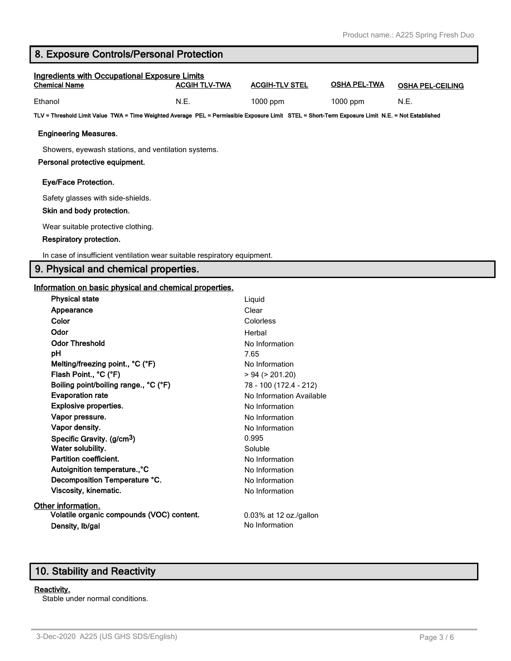## **8. Exposure Controls/Personal Protection**

| <b>Ingredients with Occupational Exposure Limits</b><br><b>Chemical Name</b> | ACGIH TLV-TWA | <b>ACGIH-TLV STEL</b> | <b>OSHA PEL-TWA</b> | <b>OSHA PEL-CEILING</b> |
|------------------------------------------------------------------------------|---------------|-----------------------|---------------------|-------------------------|
| Ethanol                                                                      | N.E.          | $1000$ ppm            | $1000$ ppm          | N.E.                    |

**TLV = Threshold Limit Value TWA = Time Weighted Average PEL = Permissible Exposure Limit STEL = Short-Term Exposure Limit N.E. = Not Established**

#### **Engineering Measures.**

Showers, eyewash stations, and ventilation systems.

#### **Personal protective equipment.**

#### **Eye/Face Protection.**

Safety glasses with side-shields.

#### **Skin and body protection.**

Wear suitable protective clothing.

#### **Respiratory protection.**

In case of insufficient ventilation wear suitable respiratory equipment.

### **9. Physical and chemical properties.**

#### **Information on basic physical and chemical properties.**

| <b>Physical state</b>                     | Liquid                   |
|-------------------------------------------|--------------------------|
| Appearance                                | Clear                    |
| Color                                     | Colorless                |
| Odor                                      | Herbal                   |
| <b>Odor Threshold</b>                     | No Information           |
| рH                                        | 7.65                     |
| Melting/freezing point., °C (°F)          | No Information           |
| Flash Point., °C (°F)                     | > 94 (> 201.20)          |
| Boiling point/boiling range., °C (°F)     | 78 - 100 (172.4 - 212)   |
| <b>Evaporation rate</b>                   | No Information Available |
| <b>Explosive properties.</b>              | No Information           |
| Vapor pressure.                           | No Information           |
| Vapor density.                            | No Information           |
| Specific Gravity. (g/cm <sup>3</sup> )    | 0.995                    |
| Water solubility.                         | Soluble                  |
| Partition coefficient.                    | No Information           |
| Autoignition temperature., °C             | No Information           |
| Decomposition Temperature °C.             | No Information           |
| Viscosity, kinematic.                     | No Information           |
| Other information.                        |                          |
| Volatile organic compounds (VOC) content. | 0.03% at 12 oz./gallon   |
| Density, Ib/gal                           | No Information           |
|                                           |                          |

## **10. Stability and Reactivity**

#### **Reactivity.**

Stable under normal conditions.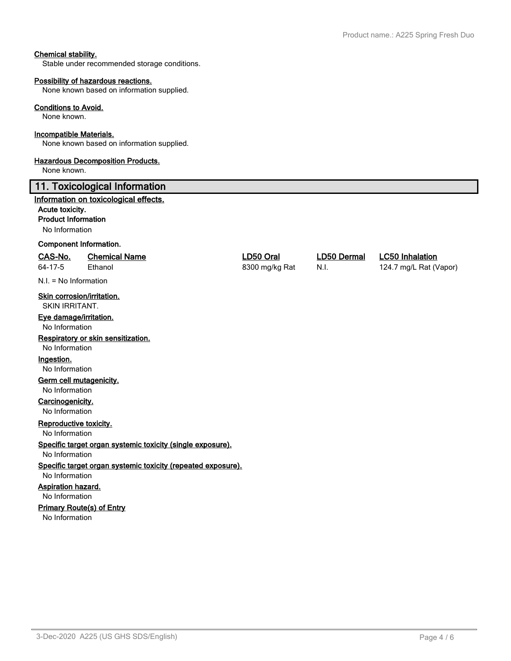#### **Chemical stability.**

Stable under recommended storage conditions.

#### **Possibility of hazardous reactions.**

None known based on information supplied.

#### **Conditions to Avoid.**

None known.

#### **Incompatible Materials.**

None known based on information supplied.

#### **Hazardous Decomposition Products.**

None known.

#### **11. Toxicological Information**

#### **Information on toxicological effects.**

#### **Acute toxicity.**

**Product Information**

No Information

#### **Component Information.**

#### **CAS-No. Chemical Name LD50 Oral LD50 Dermal LC50 Inhalation**

N.I. = No Information

### **Skin corrosion/irritation.**

SKIN IRRITANT.

#### **Eye damage/irritation.**

No Information

#### **Respiratory or skin sensitization.**

No Information

#### **Ingestion.**

No Information

#### **Germ cell mutagenicity.**

No Information

#### **Carcinogenicity.** No Information

**Reproductive toxicity.**

No Information

## **Specific target organ systemic toxicity (single exposure).**

No Information

## **Specific target organ systemic toxicity (repeated exposure).**

No Information

## **Aspiration hazard.**

No Information

## **Primary Route(s) of Entry**

No Information

64-17-5 Ethanol 8300 mg/kg Rat N.I. 124.7 mg/L Rat (Vapor)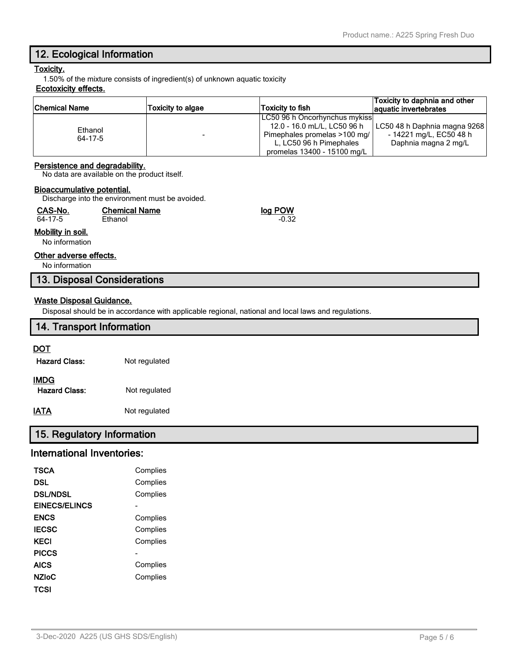## **12. Ecological Information**

#### **Toxicity.**

1.50% of the mixture consists of ingredient(s) of unknown aquatic toxicity

#### **Ecotoxicity effects.**

| <b>Chemical Name</b> | Toxicity to algae | Toxicity to fish              | Toxicity to daphnia and other<br>aquatic invertebrates |
|----------------------|-------------------|-------------------------------|--------------------------------------------------------|
|                      |                   | LC50 96 h Oncorhynchus mykiss |                                                        |
| Ethanol<br>64-17-5   |                   | 12.0 - 16.0 mL/L, LC50 96 h   | LC50 48 h Daphnia magna 9268                           |
|                      |                   | Pimephales promelas >100 mg/  | - 14221 mg/L, EC50 48 h                                |
|                      |                   | L. LC50 96 h Pimephales       | Daphnia magna 2 mg/L                                   |
|                      |                   | promelas 13400 - 15100 mg/L   |                                                        |

#### **Persistence and degradability.**

No data are available on the product itself.

#### **Bioaccumulative potential.**

Discharge into the environment must be avoided.

| CAS-No.                             | <b>Chemical Name</b> | log POW |
|-------------------------------------|----------------------|---------|
| 64-17-5                             | Ethanol              | $-0.32$ |
| Mobility in soil.<br>No information |                      |         |

#### **Other adverse effects.**

No information

#### **13. Disposal Considerations**

#### **Waste Disposal Guidance.**

Disposal should be in accordance with applicable regional, national and local laws and regulations.

# **14. Transport Information DOT Hazard Class:** Not regulated **IMDG** Hazard Class: Not regulated

## **IATA** Not regulated

## **15. Regulatory Information**

## **International Inventories:**

| TSCA                 | Complies |
|----------------------|----------|
| DSL                  | Complies |
| <b>DSL/NDSL</b>      | Complies |
| <b>EINECS/ELINCS</b> |          |
| <b>ENCS</b>          | Complies |
| <b>IECSC</b>         | Complies |
| KECI                 | Complies |
| <b>PICCS</b>         |          |
| <b>AICS</b>          | Complies |
| <b>NZIoC</b>         | Complies |
| TCSI                 |          |